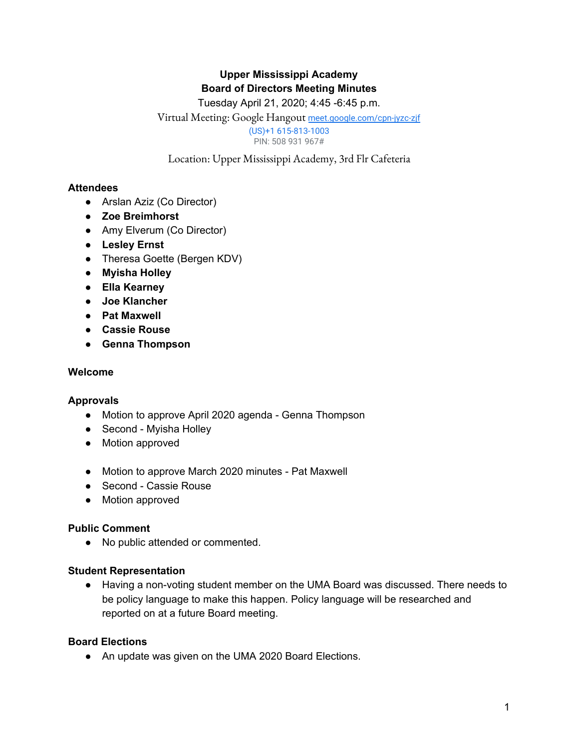# **Upper Mississippi Academy Board of Directors Meeting Minutes**

# Tuesday April 21, 2020; 4:45 -6:45 p.m.

Virtual Meeting: Google Hangout [meet.google.com/cpn-jyzc-zjf](https://meet.google.com/cpn-jyzc-zjf?hs=122)

(US)+1 615-813-1003 PIN: 508 931 967#

Location: Upper Mississippi Academy, 3rd Flr Cafeteria

# **Attendees**

- Arslan Aziz (Co Director)
- **● Zoe Breimhorst**
- Amy Elverum (Co Director)
- **● Lesley Ernst**
- Theresa Goette (Bergen KDV)
- **● Myisha Holley**
- **● Ella Kearney**
- **● Joe Klancher**
- **● Pat Maxwell**
- **● Cassie Rouse**
- **● Genna Thompson**

#### **Welcome**

#### **Approvals**

- Motion to approve April 2020 agenda Genna Thompson
- Second Myisha Holley
- Motion approved
- Motion to approve March 2020 minutes Pat Maxwell
- Second Cassie Rouse
- Motion approved

#### **Public Comment**

● No public attended or commented.

#### **Student Representation**

● Having a non-voting student member on the UMA Board was discussed. There needs to be policy language to make this happen. Policy language will be researched and reported on at a future Board meeting.

#### **Board Elections**

• An update was given on the UMA 2020 Board Elections.